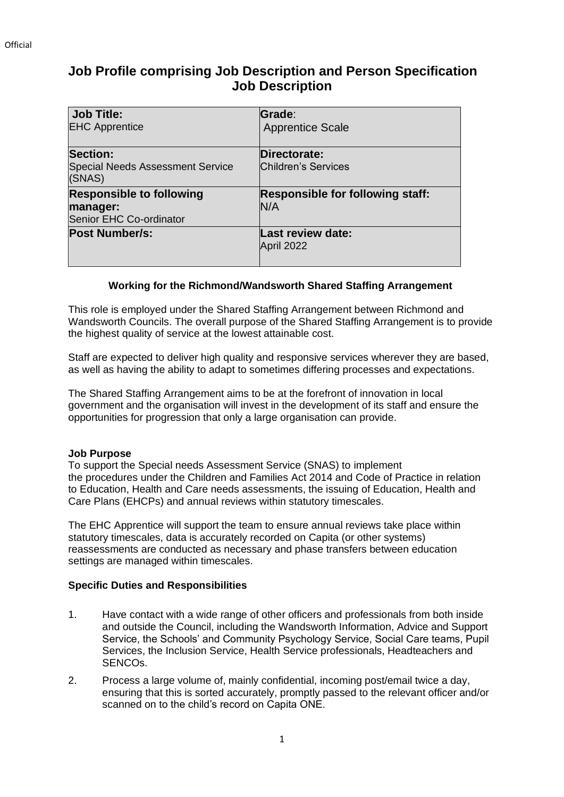# **Job Profile comprising Job Description and Person Specification Job Description**

| Job Title:<br><b>EHC Apprentice</b>                                    | Grade:<br><b>Apprentice Scale</b>              |
|------------------------------------------------------------------------|------------------------------------------------|
| <b>Section:</b><br><b>Special Needs Assessment Service</b><br>(SNAS)   | Directorate:<br>Children's Services            |
| <b>Responsible to following</b><br>manager:<br>Senior EHC Co-ordinator | <b>Responsible for following staff:</b><br>N/A |
| <b>Post Number/s:</b>                                                  | <b>Last review date:</b><br>April 2022         |

### **Working for the Richmond/Wandsworth Shared Staffing Arrangement**

This role is employed under the Shared Staffing Arrangement between Richmond and Wandsworth Councils. The overall purpose of the Shared Staffing Arrangement is to provide the highest quality of service at the lowest attainable cost.

Staff are expected to deliver high quality and responsive services wherever they are based, as well as having the ability to adapt to sometimes differing processes and expectations.

The Shared Staffing Arrangement aims to be at the forefront of innovation in local government and the organisation will invest in the development of its staff and ensure the opportunities for progression that only a large organisation can provide.

### **Job Purpose**

To support the Special needs Assessment Service (SNAS) to implement the procedures under the Children and Families Act 2014 and Code of Practice in relation to Education, Health and Care needs assessments, the issuing of Education, Health and Care Plans (EHCPs) and annual reviews within statutory timescales.

The EHC Apprentice will support the team to ensure annual reviews take place within statutory timescales, data is accurately recorded on Capita (or other systems) reassessments are conducted as necessary and phase transfers between education settings are managed within timescales.

### **Specific Duties and Responsibilities**

- 1. Have contact with a wide range of other officers and professionals from both inside and outside the Council, including the Wandsworth Information, Advice and Support Service, the Schools' and Community Psychology Service, Social Care teams, Pupil Services, the Inclusion Service, Health Service professionals, Headteachers and SENCOs.
- 2. Process a large volume of, mainly confidential, incoming post/email twice a day, ensuring that this is sorted accurately, promptly passed to the relevant officer and/or scanned on to the child's record on Capita ONE.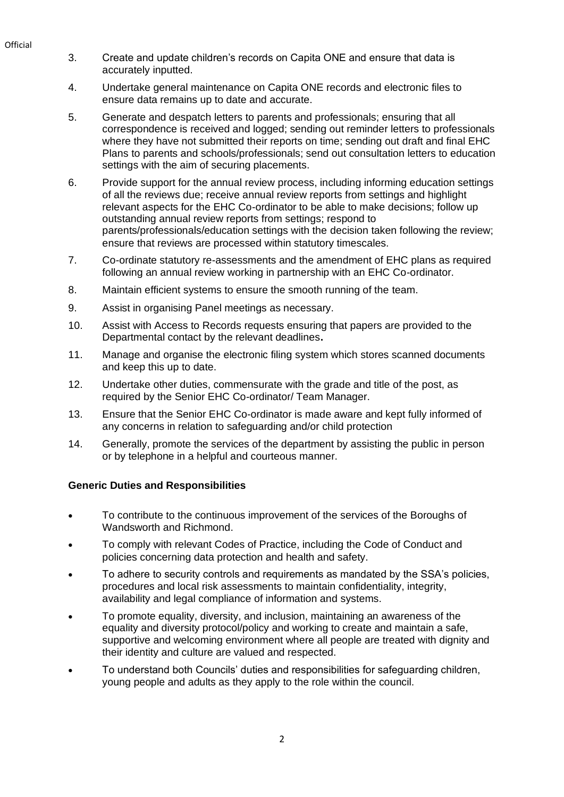- **Official**
- 3. Create and update children's records on Capita ONE and ensure that data is accurately inputted.
- 4. Undertake general maintenance on Capita ONE records and electronic files to ensure data remains up to date and accurate.
- 5. Generate and despatch letters to parents and professionals; ensuring that all correspondence is received and logged; sending out reminder letters to professionals where they have not submitted their reports on time; sending out draft and final EHC Plans to parents and schools/professionals; send out consultation letters to education settings with the aim of securing placements.
- 6. Provide support for the annual review process, including informing education settings of all the reviews due; receive annual review reports from settings and highlight relevant aspects for the EHC Co-ordinator to be able to make decisions; follow up outstanding annual review reports from settings; respond to parents/professionals/education settings with the decision taken following the review; ensure that reviews are processed within statutory timescales.
- 7. Co-ordinate statutory re-assessments and the amendment of EHC plans as required following an annual review working in partnership with an EHC Co-ordinator.
- 8. Maintain efficient systems to ensure the smooth running of the team.
- 9. Assist in organising Panel meetings as necessary.
- 10. Assist with Access to Records requests ensuring that papers are provided to the Departmental contact by the relevant deadlines**.**
- 11. Manage and organise the electronic filing system which stores scanned documents and keep this up to date.
- 12. Undertake other duties, commensurate with the grade and title of the post, as required by the Senior EHC Co-ordinator/ Team Manager.
- 13. Ensure that the Senior EHC Co-ordinator is made aware and kept fully informed of any concerns in relation to safeguarding and/or child protection
- 14. Generally, promote the services of the department by assisting the public in person or by telephone in a helpful and courteous manner.

## **Generic Duties and Responsibilities**

- To contribute to the continuous improvement of the services of the Boroughs of Wandsworth and Richmond.
- To comply with relevant Codes of Practice, including the Code of Conduct and policies concerning data protection and health and safety.
- To adhere to security controls and requirements as mandated by the SSA's policies, procedures and local risk assessments to maintain confidentiality, integrity, availability and legal compliance of information and systems.
- To promote equality, diversity, and inclusion, maintaining an awareness of the equality and diversity protocol/policy and working to create and maintain a safe, supportive and welcoming environment where all people are treated with dignity and their identity and culture are valued and respected.
- To understand both Councils' duties and responsibilities for safeguarding children, young people and adults as they apply to the role within the council.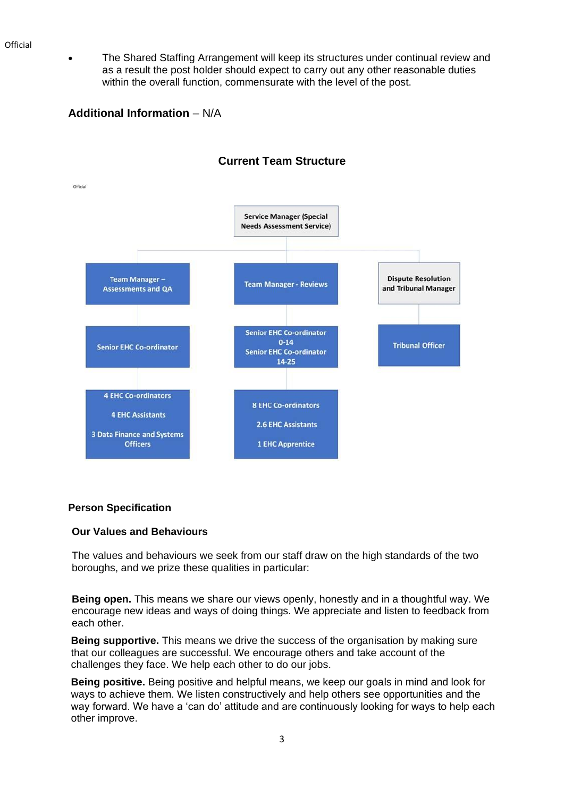• The Shared Staffing Arrangement will keep its structures under continual review and as a result the post holder should expect to carry out any other reasonable duties within the overall function, commensurate with the level of the post.

**Additional Information** – N/A



# **Current Team Structure**

### **Person Specification**

#### **Our Values and Behaviours**

The values and behaviours we seek from our staff draw on the high standards of the two boroughs, and we prize these qualities in particular:

**Being open.** This means we share our views openly, honestly and in a thoughtful way. We encourage new ideas and ways of doing things. We appreciate and listen to feedback from each other.

**Being supportive.** This means we drive the success of the organisation by making sure that our colleagues are successful. We encourage others and take account of the challenges they face. We help each other to do our jobs.

**Being positive.** Being positive and helpful means, we keep our goals in mind and look for ways to achieve them. We listen constructively and help others see opportunities and the way forward. We have a 'can do' attitude and are continuously looking for ways to help each other improve.